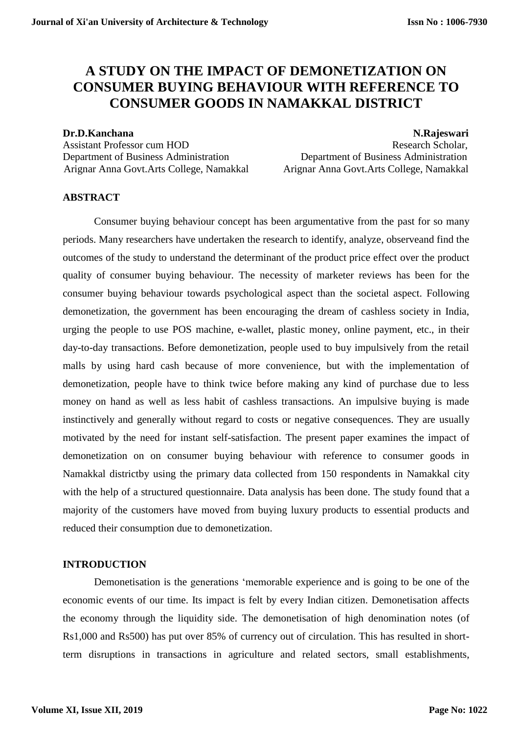# **A STUDY ON THE IMPACT OF DEMONETIZATION ON CONSUMER BUYING BEHAVIOUR WITH REFERENCE TO CONSUMER GOODS IN NAMAKKAL DISTRICT**

Department of Business Administration Department of Business Administration Arignar Anna Govt.Arts College, Namakkal Arignar Anna Govt.Arts College, Namakkal

**Dr.D.Kanchana** N.Rajeswari Assistant Professor cum HOD **Research Scholar,** Research Scholar,

#### **ABSTRACT**

Consumer buying behaviour concept has been argumentative from the past for so many periods. Many researchers have undertaken the research to identify, analyze, observeand find the outcomes of the study to understand the determinant of the product price effect over the product quality of consumer buying behaviour. The necessity of marketer reviews has been for the consumer buying behaviour towards psychological aspect than the societal aspect. Following demonetization, the government has been encouraging the dream of cashless society in India, urging the people to use POS machine, e-wallet, plastic money, online payment, etc., in their day-to-day transactions. Before demonetization, people used to buy impulsively from the retail malls by using hard cash because of more convenience, but with the implementation of demonetization, people have to think twice before making any kind of purchase due to less money on hand as well as less habit of cashless transactions. An impulsive buying is made instinctively and generally without regard to costs or negative consequences. They are usually motivated by the need for instant self-satisfaction. The present paper examines the impact of demonetization on on consumer buying behaviour with reference to consumer goods in Namakkal districtby using the primary data collected from 150 respondents in Namakkal city with the help of a structured questionnaire. Data analysis has been done. The study found that a majority of the customers have moved from buying luxury products to essential products and reduced their consumption due to demonetization.

#### **INTRODUCTION**

Demonetisation is the generations 'memorable experience and is going to be one of the economic events of our time. Its impact is felt by every Indian citizen. Demonetisation affects the economy through the liquidity side. The demonetisation of high denomination notes (of Rs1,000 and Rs500) has put over 85% of currency out of circulation. This has resulted in shortterm disruptions in transactions in agriculture and related sectors, small establishments,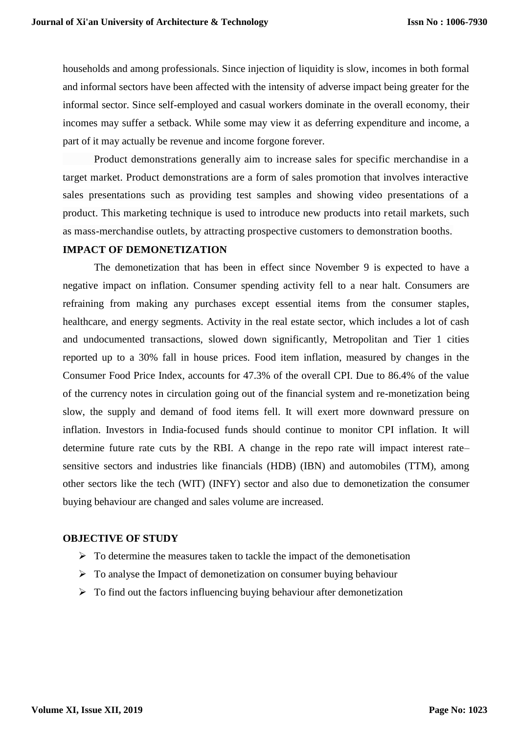households and among professionals. Since injection of liquidity is slow, incomes in both formal and informal sectors have been affected with the intensity of adverse impact being greater for the informal sector. Since self-employed and casual workers dominate in the overall economy, their incomes may suffer a setback. While some may view it as deferring expenditure and income, a part of it may actually be revenue and income forgone forever.

Product demonstrations generally aim to increase sales for specific merchandise in a target market. Product demonstrations are a form of sales promotion that involves interactive sales presentations such as providing test samples and showing video presentations of a product. This marketing technique is used to introduce new products into retail markets, such as mass-merchandise outlets, by attracting prospective customers to demonstration booths.

#### **IMPACT OF DEMONETIZATION**

The demonetization that has been in effect since November 9 is expected to have a negative impact on inflation. Consumer spending activity fell to a near halt. Consumers are refraining from making any purchases except essential items from the consumer staples, healthcare, and energy segments. Activity in the real estate sector, which includes a lot of cash and undocumented transactions, slowed down significantly, Metropolitan and Tier 1 cities reported up to a 30% fall in house prices. Food item inflation, measured by changes in the Consumer Food Price Index, accounts for 47.3% of the overall CPI. Due to 86.4% of the value of the currency notes in circulation going out of the financial system and re-monetization being slow, the supply and demand of food items fell. It will exert more downward pressure on inflation. Investors in India-focused funds should continue to monitor CPI inflation. It will determine future rate cuts by the RBI. A change in the repo rate will impact interest rate– sensitive sectors and industries like financials (HDB) (IBN) and automobiles (TTM), among other sectors like the tech (WIT) (INFY) sector and also due to demonetization the consumer buying behaviour are changed and sales volume are increased.

#### **OBJECTIVE OF STUDY**

- $\triangleright$  To determine the measures taken to tackle the impact of the demonetisation
- $\triangleright$  To analyse the Impact of demonetization on consumer buying behaviour
- $\triangleright$  To find out the factors influencing buying behaviour after demonetization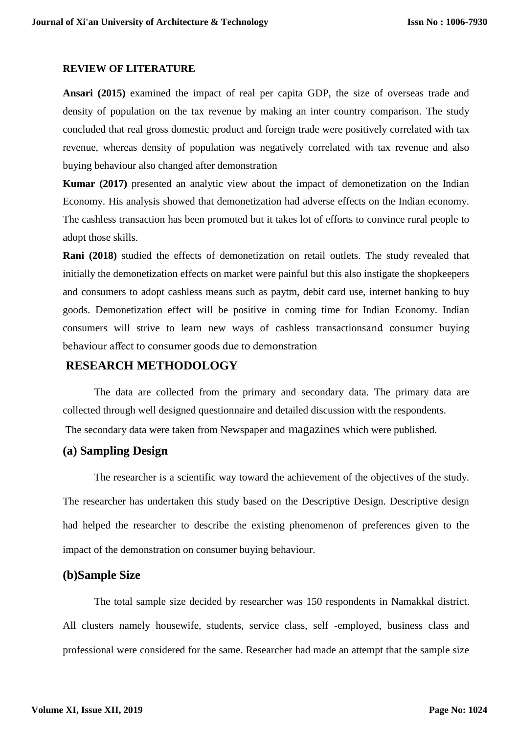#### **REVIEW OF LITERATURE**

**Ansari (2015)** examined the impact of real per capita GDP, the size of overseas trade and density of population on the tax revenue by making an inter country comparison. The study concluded that real gross domestic product and foreign trade were positively correlated with tax revenue, whereas density of population was negatively correlated with tax revenue and also buying behaviour also changed after demonstration

**Kumar (2017)** presented an analytic view about the impact of demonetization on the Indian Economy. His analysis showed that demonetization had adverse effects on the Indian economy. The cashless transaction has been promoted but it takes lot of efforts to convince rural people to adopt those skills.

**Rani (2018)** studied the effects of demonetization on retail outlets. The study revealed that initially the demonetization effects on market were painful but this also instigate the shopkeepers and consumers to adopt cashless means such as paytm, debit card use, internet banking to buy goods. Demonetization effect will be positive in coming time for Indian Economy. Indian consumers will strive to learn new ways of cashless transactionsand consumer buying behaviour affect to consumer goods due to demonstration

# **RESEARCH METHODOLOGY**

The data are collected from the primary and secondary data. The primary data are collected through well designed questionnaire and detailed discussion with the respondents. The secondary data were taken from Newspaper and magazines which were published.

# **(a) Sampling Design**

The researcher is a scientific way toward the achievement of the objectives of the study. The researcher has undertaken this study based on the Descriptive Design. Descriptive design had helped the researcher to describe the existing phenomenon of preferences given to the impact of the demonstration on consumer buying behaviour.

# **(b)Sample Size**

The total sample size decided by researcher was 150 respondents in Namakkal district. All clusters namely housewife, students, service class, self -employed, business class and professional were considered for the same. Researcher had made an attempt that the sample size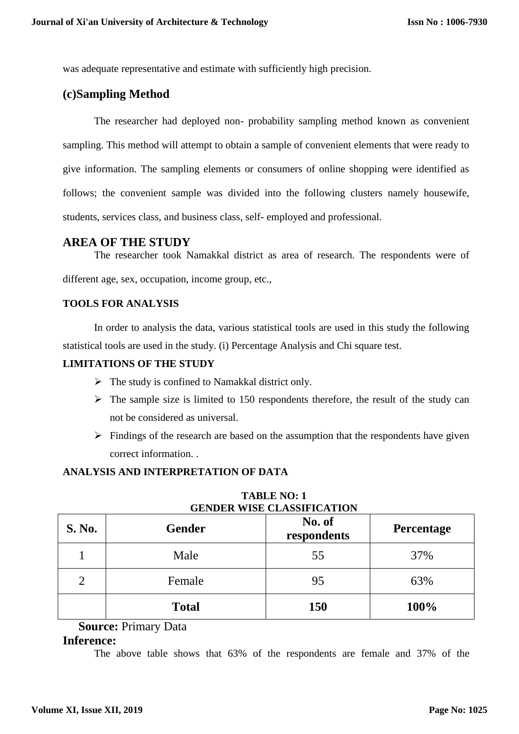was adequate representative and estimate with sufficiently high precision.

# **(c)Sampling Method**

The researcher had deployed non- probability sampling method known as convenient sampling. This method will attempt to obtain a sample of convenient elements that were ready to give information. The sampling elements or consumers of online shopping were identified as follows; the convenient sample was divided into the following clusters namely housewife, students, services class, and business class, self- employed and professional.

### **AREA OF THE STUDY**

The researcher took Namakkal district as area of research. The respondents were of different age, sex, occupation, income group, etc.,

### **TOOLS FOR ANALYSIS**

In order to analysis the data, various statistical tools are used in this study the following statistical tools are used in the study. (i) Percentage Analysis and Chi square test.

#### **LIMITATIONS OF THE STUDY**

- $\triangleright$  The study is confined to Namakkal district only.
- $\triangleright$  The sample size is limited to 150 respondents therefore, the result of the study can not be considered as universal.
- $\triangleright$  Findings of the research are based on the assumption that the respondents have given correct information. .

#### **ANALYSIS AND INTERPRETATION OF DATA**

| S. No. | <b>Gender</b> | No. of<br><b>Percentage</b><br>respondents |      |
|--------|---------------|--------------------------------------------|------|
|        | Male          | 55                                         | 37%  |
| 2      | Female        | 95                                         | 63%  |
|        | <b>Total</b>  | <b>150</b>                                 | 100% |

**TABLE NO: 1 GENDER WISE CLASSIFICATION**

# **Source:** Primary Data

#### **Inference:**

The above table shows that 63% of the respondents are female and 37% of the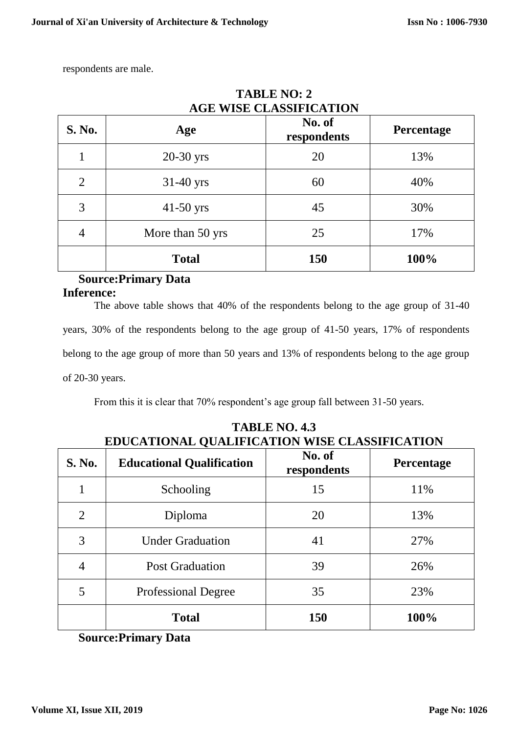respondents are male.

| <b>S. No.</b> | Age              | No. of<br>respondents | <b>Percentage</b> |  |
|---------------|------------------|-----------------------|-------------------|--|
|               | $20-30$ yrs      | 20                    | 13%               |  |
| 2             | $31-40$ yrs      | 60                    | 40%               |  |
| 3             | $41-50$ yrs      | 45                    | 30%               |  |
| 4             | More than 50 yrs | 25                    | 17%               |  |
|               | <b>Total</b>     | <b>150</b>            | 100%              |  |

# **TABLE NO: 2 AGE WISE CLASSIFICATION**

# **Source:Primary Data Inference:**

The above table shows that 40% of the respondents belong to the age group of 31-40 years, 30% of the respondents belong to the age group of 41-50 years, 17% of respondents belong to the age group of more than 50 years and 13% of respondents belong to the age group of 20-30 years.

From this it is clear that 70% respondent's age group fall between 31-50 years.

| <b>S. No.</b>  | <b>Educational Qualification</b> | No. of<br>respondents | Percentage |  |
|----------------|----------------------------------|-----------------------|------------|--|
|                | Schooling                        | 15                    | 11%        |  |
| $\overline{2}$ | Diploma                          | 20                    | 13%        |  |
| 3              | <b>Under Graduation</b>          | 41                    | 27%        |  |
| 4              | <b>Post Graduation</b>           | 39                    | 26%        |  |
| 5              | <b>Professional Degree</b>       | 35                    | 23%        |  |
|                | <b>Total</b>                     | 150                   | 100%       |  |

**TABLE NO. 4.3 EDUCATIONAL QUALIFICATION WISE CLASSIFICATION**

**Source:Primary Data**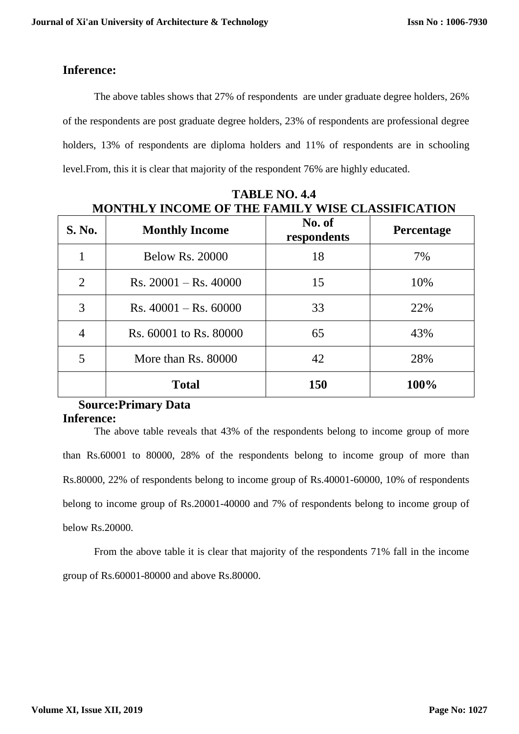# **Inference:**

The above tables shows that 27% of respondents are under graduate degree holders, 26% of the respondents are post graduate degree holders, 23% of respondents are professional degree holders, 13% of respondents are diploma holders and 11% of respondents are in schooling level.From, this it is clear that majority of the respondent 76% are highly educated.

| <b>S. No.</b>  | <b>Monthly Income</b>                   | No. of<br>respondents | <b>Percentage</b> |  |
|----------------|-----------------------------------------|-----------------------|-------------------|--|
| 1              | <b>Below Rs. 20000</b>                  | 18                    | 7%                |  |
| $\overline{2}$ | $Rs. 20001 - Rs. 40000$                 | 15                    | 10%               |  |
| 3              | $\text{Rs. } 40001 - \text{Rs. } 60000$ | 33                    | 22%               |  |
| 4              | Rs. 60001 to Rs. 80000                  | 65                    | 43%               |  |
| 5              | More than Rs. 80000                     | 42                    | 28%               |  |
|                | <b>Total</b>                            | 150                   | 100%              |  |

**TABLE NO. 4.4 MONTHLY INCOME OF THE FAMILY WISE CLASSIFICATION**

# **Source:Primary Data Inference:**

The above table reveals that 43% of the respondents belong to income group of more than Rs.60001 to 80000, 28% of the respondents belong to income group of more than Rs.80000, 22% of respondents belong to income group of Rs.40001-60000, 10% of respondents belong to income group of Rs.20001-40000 and 7% of respondents belong to income group of below Rs.20000.

From the above table it is clear that majority of the respondents 71% fall in the income group of Rs.60001-80000 and above Rs.80000.